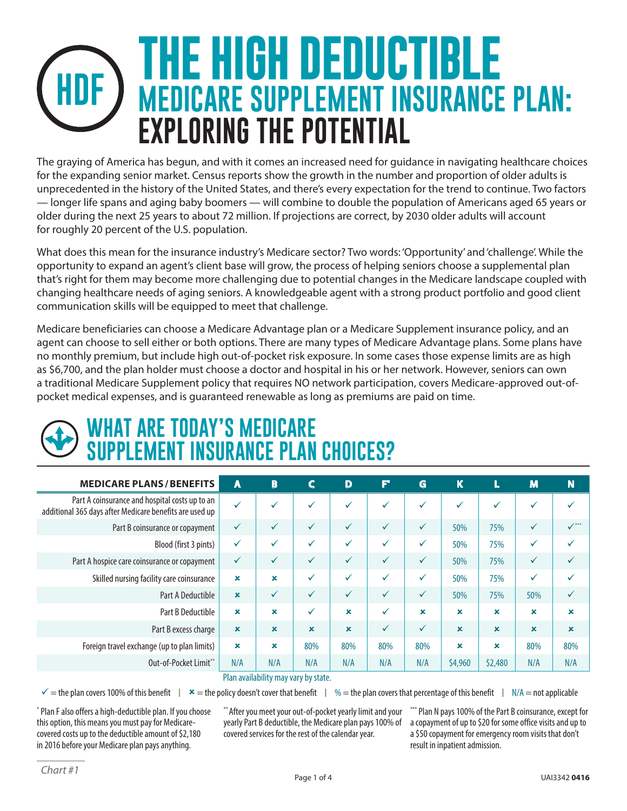## **THE HIGH DEDUCTIBLE MEDICARE SUPPLEMENT INSURANCE PLAN: EXPLORING THE POTENTIAL HDF**

The graying of America has begun, and with it comes an increased need for guidance in navigating healthcare choices for the expanding senior market. Census reports show the growth in the number and proportion of older adults is unprecedented in the history of the United States, and there's every expectation for the trend to continue. Two factors — longer life spans and aging baby boomers — will combine to double the population of Americans aged 65 years or older during the next 25 years to about 72 million. If projections are correct, by 2030 older adults will account for roughly 20 percent of the U.S. population.

What does this mean for the insurance industry's Medicare sector? Two words: 'Opportunity' and 'challenge'. While the opportunity to expand an agent's client base will grow, the process of helping seniors choose a supplemental plan that's right for them may become more challenging due to potential changes in the Medicare landscape coupled with changing healthcare needs of aging seniors. A knowledgeable agent with a strong product portfolio and good client communication skills will be equipped to meet that challenge.

Medicare beneficiaries can choose a Medicare Advantage plan or a Medicare Supplement insurance policy, and an agent can choose to sell either or both options. There are many types of Medicare Advantage plans. Some plans have no monthly premium, but include high out-of-pocket risk exposure. In some cases those expense limits are as high as \$6,700, and the plan holder must choose a doctor and hospital in his or her network. However, seniors can own a traditional Medicare Supplement policy that requires NO network participation, covers Medicare-approved out-ofpocket medical expenses, and is guaranteed renewable as long as premiums are paid on time.

### **WHAT ARE TODAY'S MEDICARE SUPPLEMENT INSURANCE PLAN CHOICES?**

| <b>MEDICARE PLANS/BENEFITS</b>                                                                            | A                         | B            |              | D                         | F            | G            | Κ           |                           | M                       | N           |
|-----------------------------------------------------------------------------------------------------------|---------------------------|--------------|--------------|---------------------------|--------------|--------------|-------------|---------------------------|-------------------------|-------------|
| Part A coinsurance and hospital costs up to an<br>additional 365 days after Medicare benefits are used up | $\checkmark$              | ✓            | ✓            | ✓                         | $\checkmark$ | $\checkmark$ | ✓           | ✓                         | ✓                       |             |
| Part B coinsurance or copayment                                                                           | ✓                         | ✓            | ✓            | ✓                         | ✓            | ✓            | 50%         | 75%                       | ✓                       | $\sqrt{ }$  |
| Blood (first 3 pints)                                                                                     | $\checkmark$              | ✓            | ✓            | ✓                         | ✓            | ✓            | 50%         | 75%                       | ✓                       |             |
| Part A hospice care coinsurance or copayment                                                              | ✓                         |              | $\checkmark$ | ✓                         | ✓            | ✓            | 50%         | 75%                       | ✓                       |             |
| Skilled nursing facility care coinsurance                                                                 | ×                         | ×            | ✓            | ✓                         | ✓            | ✓            | 50%         | 75%                       | ✓                       |             |
| Part A Deductible                                                                                         | $\mathbf x$               | $\checkmark$ | $\checkmark$ | ✓                         | ✓            | $\checkmark$ | 50%         | 75%                       | 50%                     |             |
| Part B Deductible                                                                                         | ×                         | $\mathbf x$  | ✓            | $\mathbf x$               | ✓            | $\mathbf x$  | $\mathbf x$ | $\mathbf x$               | $\mathbf x$             | $\mathbf x$ |
| Part B excess charge                                                                                      | $\boldsymbol{\mathsf{x}}$ | ×            | $\mathbf x$  | $\boldsymbol{\mathsf{x}}$ | $\checkmark$ | ✓            | $\mathbf x$ | $\boldsymbol{\mathsf{x}}$ | $\overline{\mathbf{x}}$ | $\mathbf x$ |
| Foreign travel exchange (up to plan limits)                                                               | ×                         | ×            | 80%          | 80%                       | 80%          | 80%          | ×           | ×                         | 80%                     | 80%         |
| Out-of-Pocket Limit**                                                                                     | N/A                       | N/A          | N/A          | N/A                       | N/A          | N/A          | \$4,960     | \$2,480                   | N/A                     | N/A         |

Plan availability may vary by state.

 $\checkmark$  = the plan covers 100% of this benefit  $\checkmark$  = the policy doesn't cover that benefit  $\checkmark$  = the plan covers that percentage of this benefit  $\checkmark$  N/A = not applicable

result in inpatient admission.

\*\*\* Plan N pays 100% of the Part B coinsurance, except for a copayment of up to \$20 for some office visits and up to a \$50 copayment for emergency room visits that don't

\* Plan F also offers a high-deductible plan. If you choose this option, this means you must pay for Medicarecovered costs up to the deductible amount of \$2,180 in 2016 before your Medicare plan pays anything.

\*\* After you meet your out-of-pocket yearly limit and your yearly Part B deductible, the Medicare plan pays 100% of covered services for the rest of the calendar year.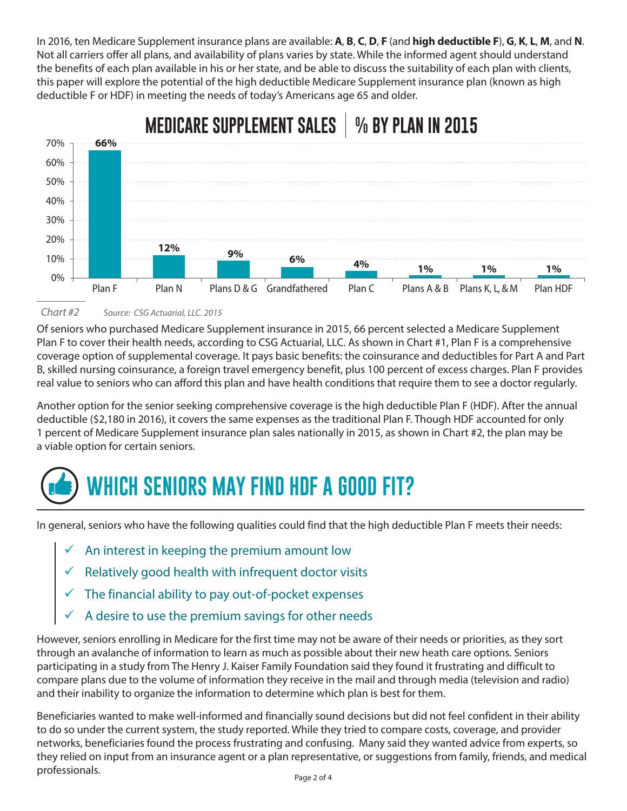In 2016, ten Medicare Supplement insurance plans are available: **A**, **B**, **C**, **D**, **F** (and **high deductible F**), **G**, **K**, **L**, **M**, and **N**. Not all carriers offer all plans, and availability of plans varies by state. While the informed agent should understand the benefits of each plan available in his or her state, and be able to discuss the suitability of each plan with clients, this paper will explore the potential of the high deductible Medicare Supplement insurance plan (known as high deductible F or HDF) in meeting the needs of today's Americans age 65 and older.



### **MEDICARE SUPPLEMENT SALES % BY PLAN IN 2015**

*Chart #2 Source: CSG Actuarial, LLC. 2015*

Of seniors who purchased Medicare Supplement insurance in 2015, 66 percent selected a Medicare Supplement Plan F to cover their health needs, according to CSG Actuarial, LLC. As shown in Chart #1, Plan F is a comprehensive coverage option of supplemental coverage. It pays basic benefits: the coinsurance and deductibles for Part A and Part B, skilled nursing coinsurance, a foreign travel emergency benefit, plus 100 percent of excess charges. Plan F provides real value to seniors who can afford this plan and have health conditions that require them to see a doctor regularly.

Another option for the senior seeking comprehensive coverage is the high deductible Plan F (HDF). After the annual deductible (\$2,180 in 2016), it covers the same expenses as the traditional Plan F. Though HDF accounted for only 1 percent of Medicare Supplement insurance plan sales nationally in 2015, as shown in Chart #2, the plan may be a viable option for certain seniors.



In general, seniors who have the following qualities could find that the high deductible Plan F meets their needs:

- An interest in keeping the premium amount low
- $\checkmark$  Relatively good health with infrequent doctor visits
- $\checkmark$  The financial ability to pay out-of-pocket expenses
- A desire to use the premium savings for other needs

However, seniors enrolling in Medicare for the first time may not be aware of their needs or priorities, as they sort through an avalanche of information to learn as much as possible about their new heath care options. Seniors participating in a study from The Henry J. Kaiser Family Foundation said they found it frustrating and difficult to compare plans due to the volume of information they receive in the mail and through media (television and radio) and their inability to organize the information to determine which plan is best for them.

Beneficiaries wanted to make well-informed and financially sound decisions but did not feel confident in their ability to do so under the current system, the study reported. While they tried to compare costs, coverage, and provider networks, beneficiaries found the process frustrating and confusing. Many said they wanted advice from experts, so they relied on input from an insurance agent or a plan representative, or suggestions from family, friends, and medical professionals.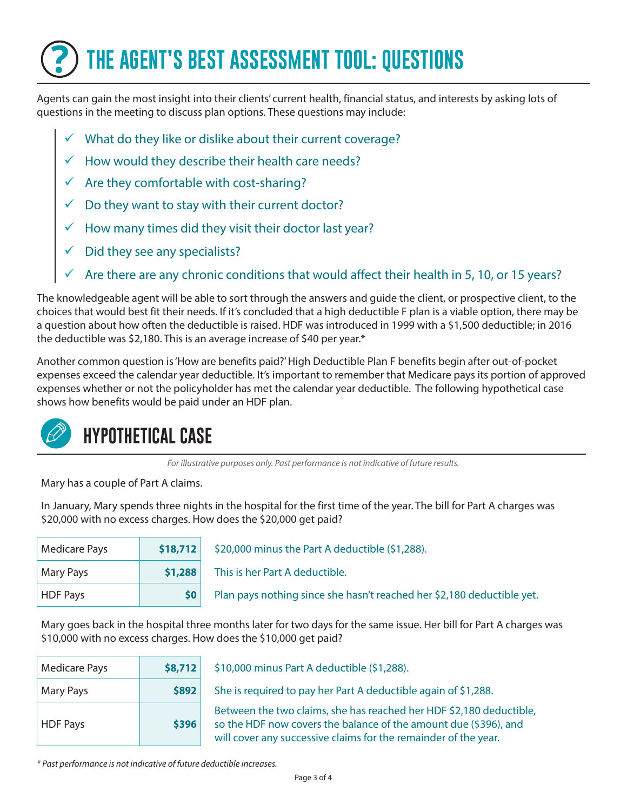# **THE AGENT'S BEST ASSESSMENT TOOL: QUESTIONS**

Agents can gain the most insight into their clients' current health, financial status, and interests by asking lots of questions in the meeting to discuss plan options. These questions may include:

- What do they like or dislike about their current coverage?
- $\checkmark$  How would they describe their health care needs?
- $\checkmark$  Are they comfortable with cost-sharing?
- $\checkmark$  Do they want to stay with their current doctor?
- How many times did they visit their doctor last year?
- Did they see any specialists?
- Are there are any chronic conditions that would affect their health in 5, 10, or 15 years?

The knowledgeable agent will be able to sort through the answers and guide the client, or prospective client, to the choices that would best fit their needs. If it's concluded that a high deductible F plan is a viable option, there may be a question about how often the deductible is raised. HDF was introduced in 1999 with a \$1,500 deductible; in 2016 the deductible was \$2,180. This is an average increase of \$40 per year.\*

Another common question is 'How are benefits paid?' High Deductible Plan F benefits begin after out-of-pocket expenses exceed the calendar year deductible. It's important to remember that Medicare pays its portion of approved expenses whether or not the policyholder has met the calendar year deductible. The following hypothetical case shows how benefits would be paid under an HDF plan.



#### **HYPOTHETICAL CASE**

*For illustrative purposes only. Past performance is not indicative of future results.*

Mary has a couple of Part A claims.

In January, Mary spends three nights in the hospital for the first time of the year. The bill for Part A charges was \$20,000 with no excess charges. How does the \$20,000 get paid?

| <b>Medicare Pays</b> | \$18,712     |
|----------------------|--------------|
| Mary Pays            | \$1,288      |
| <b>HDF Pays</b>      | $\mathsf{S}$ |

\$20,000 minus the Part A deductible (\$1,288). This is her Part A deductible. Plan pays nothing since she hasn't reached her \$2,180 deductible yet.

Mary goes back in the hospital three months later for two days for the same issue. Her bill for Part A charges was \$10,000 with no excess charges. How does the \$10,000 get paid?

| <b>Medicare Pays</b> | \$8,712      |
|----------------------|--------------|
| Mary Pays            | \$892        |
| <b>HDF Pays</b>      | <b>\$396</b> |

\$10,000 minus Part A deductible (\$1,288).

She is required to pay her Part A deductible again of \$1,288.

Between the two claims, she has reached her HDF \$2,180 deductible, so the HDF now covers the balance of the amount due (\$396), and will cover any successive claims for the remainder of the year.

*\* Past performance is not indicative of future deductible increases.*